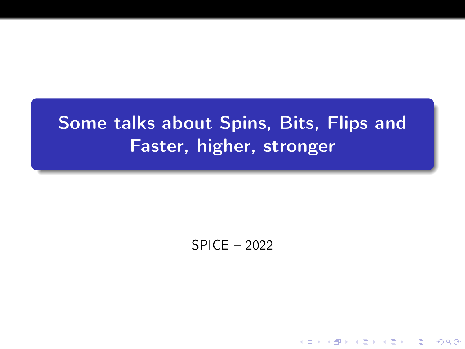## Some talks about Spins, Bits, Flips and Faster, higher, stronger

 $SPICE - 2022$ 

K ロ ▶ K 個 ▶ K 할 ▶ K 할 ▶ 이 할 → 이익C\*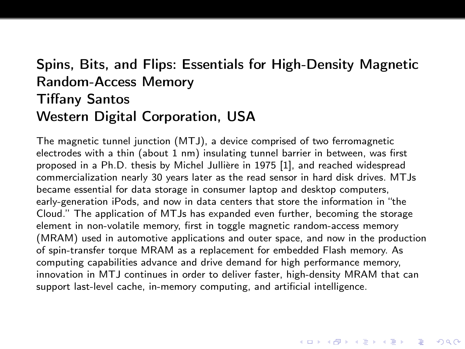## Spins, Bits, and Flips: Essentials for High-Density Magnetic Random-Access Memory Tiffany Santos Western Digital Corporation, USA

The magnetic tunnel junction (MTJ), a device comprised of two ferromagnetic electrodes with a thin (about 1 nm) insulating tunnel barrier in between, was first proposed in a Ph.D. thesis by Michel Jullière in 1975 [1], and reached widespread commercialization nearly 30 years later as the read sensor in hard disk drives. MTJs became essential for data storage in consumer laptop and desktop computers, early-generation iPods, and now in data centers that store the information in "the Cloud." The application of MTJs has expanded even further, becoming the storage element in non-volatile memory, first in toggle magnetic random-access memory (MRAM) used in automotive applications and outer space, and now in the production of spin-transfer torque MRAM as a replacement for embedded Flash memory. As computing capabilities advance and drive demand for high performance memory, innovation in MTJ continues in order to deliver faster, high-density MRAM that can support last-level cache, in-memory computing, and artificial intelligence.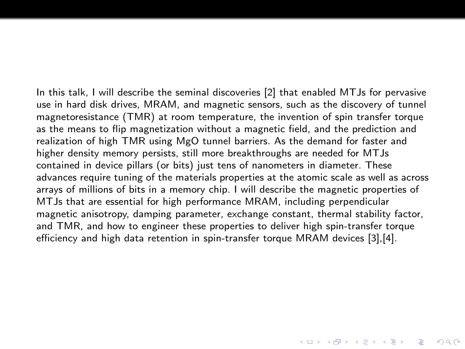In this talk, I will describe the seminal discoveries [2] that enabled MTJs for pervasive use in hard disk drives, MRAM, and magnetic sensors, such as the discovery of tunnel magnetoresistance (TMR) at room temperature, the invention of spin transfer torque as the means to flip magnetization without a magnetic field, and the prediction and realization of high TMR using MgO tunnel barriers. As the demand for faster and higher density memory persists, still more breakthroughs are needed for MTJs contained in device pillars (or bits) just tens of nanometers in diameter. These advances require tuning of the materials properties at the atomic scale as well as across arrays of millions of bits in a memory chip. I will describe the magnetic properties of MTJs that are essential for high performance MRAM, including perpendicular magnetic anisotropy, damping parameter, exchange constant, thermal stability factor, and TMR, and how to engineer these properties to deliver high spin-transfer torque efficiency and high data retention in spin-transfer torque MRAM devices [3],[4].

**KORKA SERKER ORA**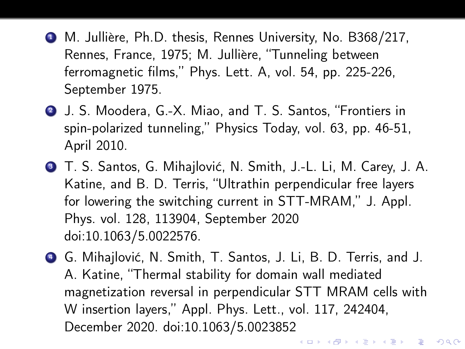- **1 M. Jullière, Ph.D. thesis, Rennes University, No. B368/217,** Rennes, France, 1975; M. Jullière, "Tunneling between ferromagnetic films," Phys. Lett. A, vol. 54, pp. 225-226, September 1975.
- <sup>2</sup> J. S. Moodera, G.-X. Miao, and T. S. Santos, "Frontiers in spin-polarized tunneling," Physics Today, vol. 63, pp. 46-51, April 2010.
- **3** T. S. Santos, G. Mihajlović, N. Smith, J.-L. Li, M. Carey, J. A. Katine, and B. D. Terris, "Ultrathin perpendicular free layers for lowering the switching current in STT-MRAM," J. Appl. Phys. vol. 128, 113904, September 2020 [doi:10.1063/5.0022576.](https://doi.org/10.1063/5.0022576)
- **4** G. Mihajlović, N. Smith, T. Santos, J. Li, B. D. Terris, and J. A. Katine, "Thermal stability for domain wall mediated magnetization reversal in perpendicular STT MRAM cells with W insertion layers," Appl. Phys. Lett., vol. 117, 242404, December 2020. [doi:10.1063/5.0023852](https://doi.org/10.1063/5.0023852)**K ロ ▶ K @ ▶ K 할 ▶ K 할 ▶ 이 할 → 이익단**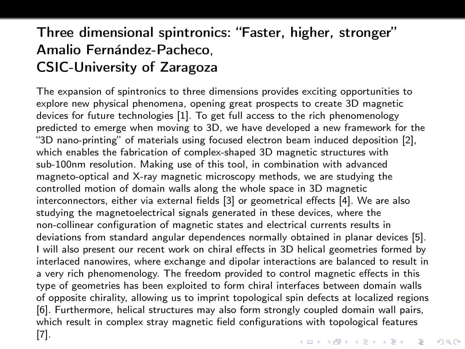## Three dimensional spintronics: "Faster, higher, stronger" Amalio Fernández-Pacheco, CSIC-University of Zaragoza

The expansion of spintronics to three dimensions provides exciting opportunities to explore new physical phenomena, opening great prospects to create 3D magnetic devices for future technologies [1]. To get full access to the rich phenomenology predicted to emerge when moving to 3D, we have developed a new framework for the "3D nano-printing" of materials using focused electron beam induced deposition [2], which enables the fabrication of complex-shaped 3D magnetic structures with sub-100nm resolution. Making use of this tool, in combination with advanced magneto-optical and X-ray magnetic microscopy methods, we are studying the controlled motion of domain walls along the whole space in 3D magnetic interconnectors, either via external fields [3] or geometrical effects [4]. We are also studying the magnetoelectrical signals generated in these devices, where the non-collinear configuration of magnetic states and electrical currents results in deviations from standard angular dependences normally obtained in planar devices [5]. I will also present our recent work on chiral effects in 3D helical geometries formed by interlaced nanowires, where exchange and dipolar interactions are balanced to result in a very rich phenomenology. The freedom provided to control magnetic effects in this type of geometries has been exploited to form chiral interfaces between domain walls of opposite chirality, allowing us to imprint topological spin defects at localized regions [6]. Furthermore, helical structures may also form strongly coupled domain wall pairs, which result in complex stray magnetic field configurations with topological features [7].